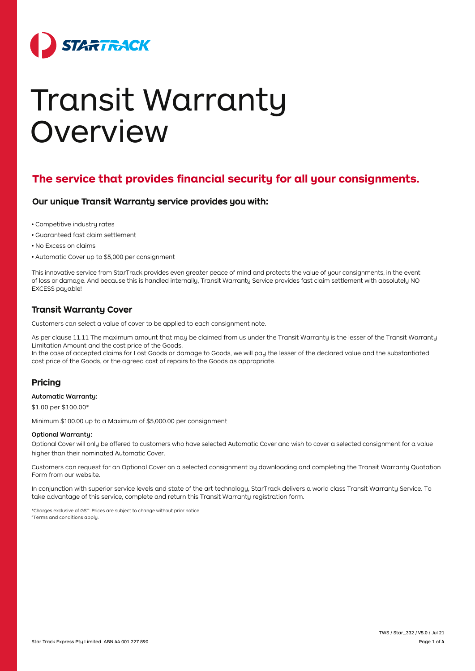

# Transit Warranty Overview

## **The service that provides financial security for all your consignments.**

## Our unique Transit Warranty service provides you with:

- Competitive industry rates
- Guaranteed fast claim settlement
- No Excess on claims
- Automatic Cover up to \$5,000 per consignment

This innovative service from StarTrack provides even greater peace of mind and protects the value of your consignments, in the event of loss or damage. And because this is handled internally, Transit Warranty Service provides fast claim settlement with absolutely NO EXCESS payable!

## Transit Warranty Cover

Customers can select a value of cover to be applied to each consignment note.

As per clause 11.11 The maximum amount that may be claimed from us under the Transit Warranty is the lesser of the Transit Warranty Limitation Amount and the cost price of the Goods.

In the case of accepted claims for Lost Goods or damage to Goods, we will pay the lesser of the declared value and the substantiated cost price of the Goods, or the agreed cost of repairs to the Goods as appropriate.

## Pricing

## Automatic Warranty:

\$1.00 per \$100.00\*

Minimum \$100.00 up to a Maximum of [\\$5,000.00](https://5,000.00) per consignment

## Optional Warranty:

 Optional Cover will only be offered to customers who have selected Automatic Cover and wish to cover a selected consignment for a value higher than their nominated Automatic Cover.

Customers can request for an Optional Cover on a selected consignment by downloading and completing the Transit Warranty Quotation Form from our website.

In conjunction with superior service levels and state of the art technology, StarTrack delivers a world class Transit Warranty Service. To take advantage of this service, complete and return this Transit Warranty registration form.

 #Terms and conditions apply. \*Charges exclusive of GST. Prices are subject to change without prior notice.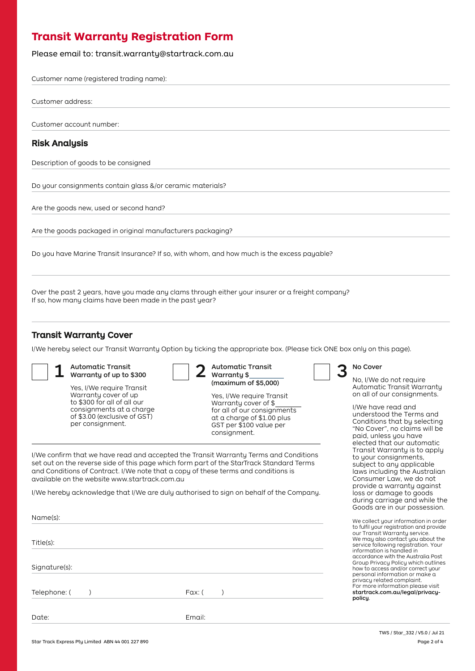# **Transit Warranty Registration Form**

Please email to: transit.warranty@startrack.com.au

Customer name (registered trading name):

Customer address:

Customer account number:

## Risk Analysis

Description of goods to be consigned

Do your consignments contain glass &/or ceramic materials?

Are the goods new, used or second hand?

Are the goods packaged in original manufacturers packaging?

Do you have Marine Transit Insurance? If so, with whom, and how much is the excess payable?

Over the past 2 years, have you made any clams through either your insurer or a freight company? If so, how many claims have been made in the past year?

I/We confirm that we have read and accepted the Transit Warranty Terms and Conditions set out on the reverse side of this page which form part of the StarTrack Standard Terms and Conditions of Contract. I/We note that a copy of these terms and conditions is

I/We hereby acknowledge that I/We are duly authorised to sign on behalf of the Company.

## Transit Warranty Cover

I/We hereby select our Transit Warranty Option by ticking the appropriate box. (Please tick ONE box only on this page).

1 Automatic Transit<br>
Warranty of up to \$300 2 Warranty \$

to \$300 for all of all our<br>
consignments at a charge<br>
for all of our consignments at a charge<br>
for all of our consign consignments at a charge for all of our consignments<br>of \$3.00 (exclusive of GST) at a charge of \$1.00 plus of \$3.00 (exclusive of GST) at a charge of \$1.00 plus per consignment. GST per \$100 value per

available on the website <www.startrack.com.au>

Telephone: ( ) and ( ) and ( ) and ( ) Fax: ( ) and ( ) and ( ) and ( ) and ( ) and ( ) and ( ) and ( ) and ( )  $\overline{a}$  and ( ) and ( ) and ( ) and ( ) and ( ) and ( ) and ( ) and ( ) and ( ) and ( ) and ( ) and ( ) and (



Yes, I/We require Transit<br>Warranty cover of up and the Marketine Transit Warranty cover of up Yes, I/We require Transit

consignment.

## No Cover

No, I/We do not require Automatic Transit Warranty on all of our consignments.

I/We have read and understood the Terms and Conditions that by selecting "No Cover", no claims will be paid, unless you have elected that our automatic Transit Warranty is to apply to your consignments, subject to any applicable laws including the Australian Consumer Law, we do not provide a warranty against loss or damage to goods during carriage and while the Goods are in our possession.

We collect your information in order to fulfil your registration and provide our Transit Warranty service. We may also contact you about the service following registration. Your information is handled in accordance with the Australia Post Group Privacy Policy which outlines how to access and/or correct your personal information or make a privacy related complaint. For more information please visit startrack.com.au/legal/privacypolicy.

Name(s):

Title(s):

Signature(s):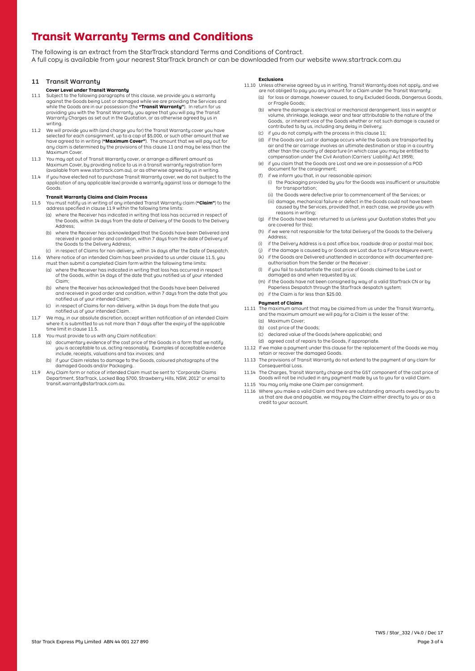# **Transit Warranty Terms and Conditions**

The following is an extract from the StarTrack standard Terms and Conditions of Contract. A full copy is available from your nearest StarTrack branch or can be downloaded from our website<www.startrack.com.au>

## 11 Transit Warranty

#### **Cover Level under Transit Warranty**

- 11.1 Subject to the following paragraphs of this clause, we provide you a warranty against the Goods being Lost or damaged while we are providing the Services and while the Goods are in our possession (the **"Transit Warranty"**). In return for us providing you with the Transit Warranty, you agree that you will pay the Transit Warranty Charges as set out in the Quotation, or as otherwise agreed by us in writing.
- 11.2 We will provide you with (and charge you for) the Transit Warranty cover you have selected for each consignment, up to a cap of \$5,000, or such other amount that we have agreed to in writing (**"Maximum Cover"**). The amount that we will pay out for any claim is determined by the provisions of this clause 11 and may be less than the Maximum Cover.
- 11.3 You may opt out of Transit Warranty cover, or arrange a different amount as Maximum Cover, by providing notice to us in a transit warranty registration form (available from <www.startrack.com.au>), or as otherwise agreed by us in writing.
- 11.4 If you have elected not to purchase Transit Warranty cover, we do not (subject to the application of any applicable law) provide a warranty against loss or damage to the Goods.

#### **Transit Warranty Claims and Claim Process**

- 11.5 You must notify us in writing of any intended Transit Warranty claim (**"Claim"**) to the address specified in clause 11.9 within the following time limits:
	- (a) where the Receiver has indicated in writing that loss has occurred in respect of the Goods, within 14 days from the date of Delivery of the Goods to the Delivery Address;
	- (b) where the Receiver has acknowledged that the Goods have been Delivered and received in good order and condition, within 7 days from the date of Delivery of the Goods to the Deliveru Address;
- (c) in respect of Claims for non-delivery, within 14 days after the Date of Despatch. 11.6 Where notice of an intended Claim has been provided to us under clause 11.5, you
	- must then submit a completed Claim form within the following time limits: (a) where the Receiver has indicated in writing that loss has occurred in respect of the Goods, within 14 days of the date that you notified us of your intended
		- Claim; (b) where the Receiver has acknowledged that the Goods have been Delivered and received in good order and condition, within 7 days from the date that you notified us of your intended Claim;
		- (c) in respect of Claims for non-delivery, within 14 days from the date that you notified us of your intended Claim.
- 11.7 We may, in our absolute discretion, accept written notification of an intended Claim where it is submitted to us not more than 7 days after the expiry of the applicable time limit in clause 11.5.
- 11.8 You must provide to us with any Claim notification:
	- (a) documentary evidence of the cost price of the Goods in a form that we notify you is acceptable to us, acting reasonably. Examples of acceptable evidence include, receipts, valuations and tax invoices; and
	- (b) if your Claim relates to damage to the Goods, coloured photographs of the damaged Goods and/or Packaging.
- 11.9 Any Claim form or notice of intended Claim must be sent to "Corporate Claims Department, StarTrack, Locked Bag 5700, Strawberry Hills, NSW, 2012" or email to transit.warranty@startrack.com.au.

#### **Exclusions**

- 11.10 Unless otherwise agreed by us in writing, Transit Warranty does not apply, and we are not obliged to pay you any amount for a Claim under the Transit Warranty:
	- (a) for loss or damage, however caused, to any Excluded Goods, Dangerous Goods, or Fragile Goods;
	- (b) where the damage is electrical or mechanical derangement, loss in weight or volume, shrinkage, leakage, wear and tear attributable to the nature of the Goods, or inherent vice of the Goods whether or not such damage is caused or contributed to by us, including any delay in Delivery;
	- (c) if you do not comply with the process in this clause 11;
	- (d) if the Goods are Lost or damage occurs while the Goods are transported by air and the air carriage involves an ultimate destination or stop in a country other than the country of departure (in which case you may be entitled to compensation under the Civil Aviation (Carriers' Liability) Act 1959);
	- (e) if you claim that the Goods are Lost and we are in possession of a POD document for the consignment;
	- (f) if we inform you that, in our reasonable opinion:
		- (i) the Packaging provided by you for the Goods was insufficient or unsuitable for transportation;
		- (ii) the Goods were defective prior to commencement of the Services; or
		- (iii) damage, mechanical failure or defect in the Goods could not have been caused by the Services, provided that, in each case, we provide you with reasons in writing;
	- (g) if the Goods have been returned to us (unless your Quotation states that you are covered for this);
	- (h) if we were not responsible for the total Delivery of the Goods to the Delivery Address;
	- (i) if the Delivery Address is a post office box, roadside drop or postal mail box;
	- if the damage is caused by or Goods are Lost due to a Force Majeure event;
	- (k) if the Goods are Delivered unattended in accordance with documented preauthorisation from the Sender or the Receiver ;
	- (l) if you fail to substantiate the cost price of Goods claimed to be Lost or damaged as and when requested by us;
	- (m) if the Goods have not been consigned by way of a valid StarTrack CN or by Paperless Despatch through the StarTrack despatch system; (n) if the Claim is for less than \$25.00.

## **Payment of Claims**

- 11.11 The maximum amount that may be claimed from us under the Transit Warranty, and the maximum amount we will pay for a Claim is the lesser of the:
	- (a) Maximum Cover;
	- (b) cost price of the Goods;
	- (c) declared value of the Goods (where applicable); and
	- (d) agreed cost of repairs to the Goods, if appropriate.
- 11.12 If we make a payment under this clause for the replacement of the Goods we may retain or recover the damaged Goods.
- 11.13 The provisions of Transit Warranty do not extend to the payment of any claim for Consequential Loss.
- 11.14 The Charges, Transit Warranty charge and the GST component of the cost price of Goods will not be included in any payment made by us to you for a valid Claim.
- 11.15 You may only make one Claim per consignment.
- 11.16 Where you make a valid Claim and there are outstanding amounts owed by you to us that are due and payable, we may pay the Claim either directly to you or as a credit to your account.